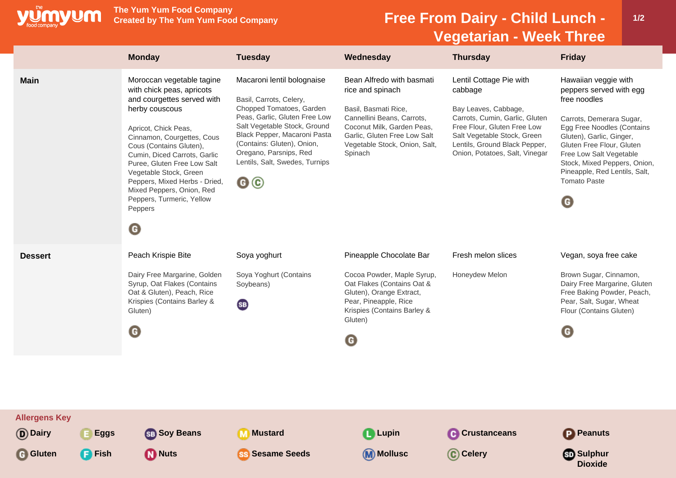

**The Yum Yum Food Company**

## **Free From Dairy - Child Lunch -Vegetarian - Week Three**

|                                                      |                                | <b>Monday</b>                                                                                                                                                                                                                                                                                                                                                                                                   | <b>Tuesday</b>                                                                                                                                                                                                                                                                     | Wednesday                                                                                                                                                                                                     | <b>Thursday</b>                                                                                                                                                                                                               | <b>Friday</b>                                                                                                                                                                                                                                                                                              |
|------------------------------------------------------|--------------------------------|-----------------------------------------------------------------------------------------------------------------------------------------------------------------------------------------------------------------------------------------------------------------------------------------------------------------------------------------------------------------------------------------------------------------|------------------------------------------------------------------------------------------------------------------------------------------------------------------------------------------------------------------------------------------------------------------------------------|---------------------------------------------------------------------------------------------------------------------------------------------------------------------------------------------------------------|-------------------------------------------------------------------------------------------------------------------------------------------------------------------------------------------------------------------------------|------------------------------------------------------------------------------------------------------------------------------------------------------------------------------------------------------------------------------------------------------------------------------------------------------------|
| <b>Main</b>                                          |                                | Moroccan vegetable tagine<br>with chick peas, apricots<br>and courgettes served with<br>herby couscous<br>Apricot, Chick Peas,<br>Cinnamon, Courgettes, Cous<br>Cous (Contains Gluten),<br>Cumin, Diced Carrots, Garlic<br>Puree, Gluten Free Low Salt<br>Vegetable Stock, Green<br>Peppers, Mixed Herbs - Dried,<br>Mixed Peppers, Onion, Red<br>Peppers, Turmeric, Yellow<br>Peppers<br>$\boldsymbol{\Theta}$ | Macaroni lentil bolognaise<br>Basil, Carrots, Celery,<br>Chopped Tomatoes, Garden<br>Peas, Garlic, Gluten Free Low<br>Salt Vegetable Stock, Ground<br>Black Pepper, Macaroni Pasta<br>(Contains: Gluten), Onion,<br>Oregano, Parsnips, Red<br>Lentils, Salt, Swedes, Turnips<br>@© | Bean Alfredo with basmati<br>rice and spinach<br>Basil, Basmati Rice,<br>Cannellini Beans, Carrots,<br>Coconut Milk, Garden Peas,<br>Garlic, Gluten Free Low Salt<br>Vegetable Stock, Onion, Salt,<br>Spinach | Lentil Cottage Pie with<br>cabbage<br>Bay Leaves, Cabbage,<br>Carrots, Cumin, Garlic, Gluten<br>Free Flour, Gluten Free Low<br>Salt Vegetable Stock, Green<br>Lentils, Ground Black Pepper,<br>Onion, Potatoes, Salt, Vinegar | Hawaiian veggie with<br>peppers served with egg<br>free noodles<br>Carrots, Demerara Sugar,<br>Egg Free Noodles (Contains<br>Gluten), Garlic, Ginger,<br>Gluten Free Flour, Gluten<br>Free Low Salt Vegetable<br>Stock, Mixed Peppers, Onion,<br>Pineapple, Red Lentils, Salt,<br><b>Tomato Paste</b><br>O |
| <b>Dessert</b>                                       |                                | Peach Krispie Bite<br>Dairy Free Margarine, Golden<br>Syrup, Oat Flakes (Contains<br>Oat & Gluten), Peach, Rice<br>Krispies (Contains Barley &<br>Gluten)<br>$\mathbf \Theta$                                                                                                                                                                                                                                   | Soya yoghurt<br>Soya Yoghurt (Contains<br>Soybeans)<br>(SB)                                                                                                                                                                                                                        | Pineapple Chocolate Bar<br>Cocoa Powder, Maple Syrup,<br>Oat Flakes (Contains Oat &<br>Gluten), Orange Extract,<br>Pear, Pineapple, Rice<br>Krispies (Contains Barley &<br>Gluten)<br>O                       | Fresh melon slices<br>Honeydew Melon                                                                                                                                                                                          | Vegan, soya free cake<br>Brown Sugar, Cinnamon,<br>Dairy Free Margarine, Gluten<br>Free Baking Powder, Peach,<br>Pear, Salt, Sugar, Wheat<br>Flour (Contains Gluten)<br>O                                                                                                                                  |
| <b>Allergens Key</b><br>(D) Dairy<br><b>G</b> Gluten | <b>E</b> Eggs<br><b>B</b> Fish | <b>SB</b> Soy Beans<br><b>D</b> Nuts                                                                                                                                                                                                                                                                                                                                                                            | <b>M</b> Mustard<br><b>SS</b> Sesame Seeds                                                                                                                                                                                                                                         | <b>Lupin</b><br>(M) Mollusc                                                                                                                                                                                   | <b>C</b> Crustanceans<br>C Celery                                                                                                                                                                                             | <b>P</b> Peanuts<br><b>Sulphur</b><br><b>Dioxide</b>                                                                                                                                                                                                                                                       |